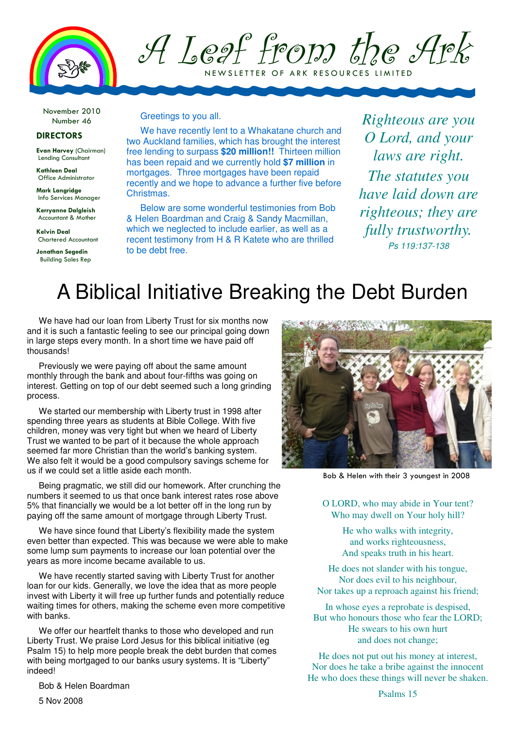

## A Leaf from the Ark N E W SLETTER OF ARK RESOURCES LIMITED

November 2010 Number 46

#### DIRECTORS

Evan Harvey (Chairman) Lending Consultant

Kathleen Deal Office Administrator

Mark Langridge Info Services Manager

Kerryanne Dalgleish Accountant & Mother

Kelvin Deal Chartered Accountant

Jonathan Segedin Building Sales Rep

#### Greetings to you all.

We have recently lent to a Whakatane church and two Auckland families, which has brought the interest free lending to surpass **\$20 million!!** Thirteen million has been repaid and we currently hold **\$7 million** in mortgages. Three mortgages have been repaid recently and we hope to advance a further five before Christmas.

Below are some wonderful testimonies from Bob & Helen Boardman and Craig & Sandy Macmillan, which we neglected to include earlier, as well as a recent testimony from H & R Katete who are thrilled to be debt free.

*Righteous are you O Lord, and your laws are right. The statutes you have laid down are righteous; they are fully trustworthy.*  Ps 119:137-138

# A Biblical Initiative Breaking the Debt Burden

We have had our loan from Liberty Trust for six months now and it is such a fantastic feeling to see our principal going down in large steps every month. In a short time we have paid off thousands!

Previously we were paying off about the same amount monthly through the bank and about four-fifths was going on interest. Getting on top of our debt seemed such a long grinding process.

We started our membership with Liberty trust in 1998 after spending three years as students at Bible College. With five children, money was very tight but when we heard of Liberty Trust we wanted to be part of it because the whole approach seemed far more Christian than the world's banking system. We also felt it would be a good compulsory savings scheme for us if we could set a little aside each month.

Being pragmatic, we still did our homework. After crunching the numbers it seemed to us that once bank interest rates rose above 5% that financially we would be a lot better off in the long run by paying off the same amount of mortgage through Liberty Trust.

We have since found that Liberty's flexibility made the system even better than expected. This was because we were able to make some lump sum payments to increase our loan potential over the years as more income became available to us.

We have recently started saving with Liberty Trust for another loan for our kids. Generally, we love the idea that as more people invest with Liberty it will free up further funds and potentially reduce waiting times for others, making the scheme even more competitive with banks.

We offer our heartfelt thanks to those who developed and run Liberty Trust. We praise Lord Jesus for this biblical initiative (eg Psalm 15) to help more people break the debt burden that comes with being mortgaged to our banks usury systems. It is "Liberty" indeed!

Bob & Helen Boardman



Bob & Helen with their 3 youngest in 2008

O LORD, who may abide in Your tent? Who may dwell on Your holy hill?

> He who walks with integrity, and works righteousness, And speaks truth in his heart.

He does not slander with his tongue, Nor does evil to his neighbour, Nor takes up a reproach against his friend;

In whose eyes a reprobate is despised, But who honours those who fear the LORD; He swears to his own hurt and does not change;

He does not put out his money at interest, Nor does he take a bribe against the innocent He who does these things will never be shaken.

5 Nov 2008